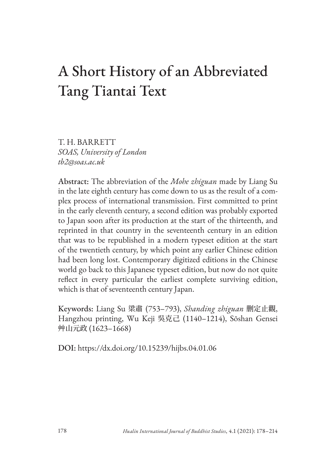# A Short History of an Abbreviated Tang Tiantai Text

T. H. BARRETT *SOAS, University of London tb2@soas.ac.uk*

Abstract: The abbreviation of the *Mohe zhiguan* made by Liang Su in the late eighth century has come down to us as the result of a complex process of international transmission. First committed to print in the early eleventh century, a second edition was probably exported to Japan soon after its production at the start of the thirteenth, and reprinted in that country in the seventeenth century in an edition that was to be republished in a modern typeset edition at the start of the twentieth century, by which point any earlier Chinese edition had been long lost. Contemporary digitized editions in the Chinese world go back to this Japanese typeset edition, but now do not quite reflect in every particular the earliest complete surviving edition, which is that of seventeenth century Japan.

Keywords: Liang Su 梁肅 (753–793), *Shanding zhiguan* 删定止觀, Hangzhou printing, Wu Keji 吳克己 (1140–1214), Sōshan Gensei 艸山元政 (1623–1668)

DOI: https://dx.doi.org/10.15239/hijbs.04.01.06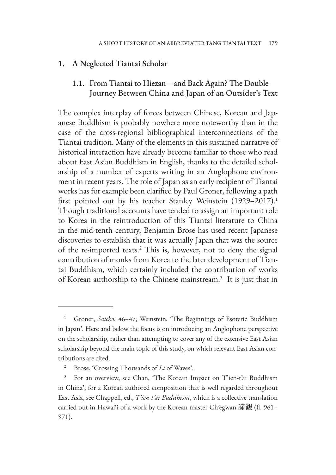## **1. A Neglected Tiantai Scholar**

# 1.1. From Tiantai to Hiezan—and Back Again? The Double Journey Between China and Japan of an Outsider's Text

The complex interplay of forces between Chinese, Korean and Japanese Buddhism is probably nowhere more noteworthy than in the case of the cross-regional bibliographical interconnections of the Tiantai tradition. Many of the elements in this sustained narrative of historical interaction have already become familiar to those who read about East Asian Buddhism in English, thanks to the detailed scholarship of a number of experts writing in an Anglophone environment in recent years. The role of Japan as an early recipient of Tiantai works has for example been clarified by Paul Groner, following a path first pointed out by his teacher Stanley Weinstein (1929–2017).<sup>1</sup> Though traditional accounts have tended to assign an important role to Korea in the reintroduction of this Tiantai literature to China in the mid-tenth century, Benjamin Brose has used recent Japanese discoveries to establish that it was actually Japan that was the source of the re-imported texts.<sup>2</sup> This is, however, not to deny the signal contribution of monks from Korea to the later development of Tiantai Buddhism, which certainly included the contribution of works of Korean authorship to the Chinese mainstream.<sup>3</sup> It is just that in

<sup>1</sup> Groner, *Saichō*, 46–47; Weinstein, 'The Beginnings of Esoteric Buddhism in Japan'. Here and below the focus is on introducing an Anglophone perspective on the scholarship, rather than attempting to cover any of the extensive East Asian scholarship beyond the main topic of this study, on which relevant East Asian contributions are cited.

<sup>2</sup> Brose, 'Crossing Thousands of *Li* of Waves'.

For an overview, see Chan, 'The Korean Impact on T'ien-t'ai Buddhism in China'; for a Korean authored composition that is well regarded throughout East Asia, see Chappell, ed., *T'ien-t'ai Buddhism*, which is a collective translation carried out in Hawai'i of a work by the Korean master Ch'egwan 諦觀 (fl. 961– 971).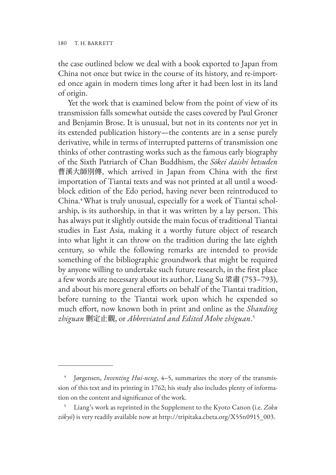the case outlined below we deal with a book exported to Japan from China not once but twice in the course of its history, and re-imported once again in modern times long after it had been lost in its land of origin.

Yet the work that is examined below from the point of view of its transmission falls somewhat outside the cases covered by Paul Groner and Benjamin Brose. It is unusual, but not in its contents nor yet in its extended publication history—the contents are in a sense purely derivative, while in terms of interrupted patterns of transmission one thinks of other contrasting works such as the famous early biography of the Sixth Patriarch of Chan Buddhism, the *Sōkei daishi betsuden*  曹溪大師別傳, which arrived in Japan from China with the first importation of Tiantai texts and was not printed at all until a woodblock edition of the Edo period, having never been reintroduced to China.4 What is truly unusual, especially for a work of Tiantai scholarship, is its authorship, in that it was written by a lay person. This has always put it slightly outside the main focus of traditional Tiantai studies in East Asia, making it a worthy future object of research into what light it can throw on the tradition during the late eighth century, so while the following remarks are intended to provide something of the bibliographic groundwork that might be required by anyone willing to undertake such future research, in the first place a few words are necessary about its author, Liang Su 梁肅 (753–793), and about his more general efforts on behalf of the Tiantai tradition, before turning to the Tiantai work upon which he expended so much effort, now known both in print and online as the *Shanding zhiguan* 删定止觀, or *Abbreviated and Edited Mohe zhiguan*. 5

<sup>4</sup> Jørgensen, *Inventing Hui-neng*, 4–5, summarizes the story of the transmission of this text and its printing in 1762; his study also includes plenty of information on the content and significance of the work.

<sup>5</sup> Liang's work as reprinted in the Supplement to the Kyoto Canon (i.e. *Zoku zōkyō*) is very readily available now at http://tripitaka.cbeta.org/X55n0915\_003.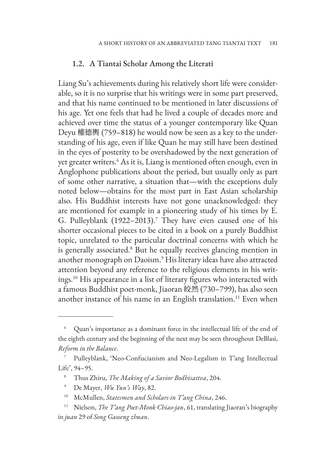#### 1.2. A Tiantai Scholar Among the Literati

Liang Su's achievements during his relatively short life were considerable, so it is no surprise that his writings were in some part preserved, and that his name continued to be mentioned in later discussions of his age. Yet one feels that had he lived a couple of decades more and achieved over time the status of a younger contemporary like Quan Deyu 權德輿 (759–818) he would now be seen as a key to the understanding of his age, even if like Quan he may still have been destined in the eyes of posterity to be overshadowed by the next generation of yet greater writers.<sup>6</sup> As it is, Liang is mentioned often enough, even in Anglophone publications about the period, but usually only as part of some other narrative, a situation that—with the exceptions duly noted below—obtains for the most part in East Asian scholarship also. His Buddhist interests have not gone unacknowledged: they are mentioned for example in a pioneering study of his times by E. G. Pulleyblank (1922–2013).<sup>7</sup> They have even caused one of his shorter occasional pieces to be cited in a book on a purely Buddhist topic, unrelated to the particular doctrinal concerns with which he is generally associated.<sup>8</sup> But he equally receives glancing mention in another monograph on Daoism.9 His literary ideas have also attracted attention beyond any reference to the religious elements in his writings.10 His appearance in a list of literary figures who interacted with a famous Buddhist poet-monk, Jiaoran 皎然 (730–799), has also seen another instance of his name in an English translation.<sup>11</sup> Even when

Quan's importance as a dominant force in the intellectual life of the end of the eighth century and the beginning of the next may be seen throughout DeBlasi, *Reform in the Balance*.

<sup>7</sup> Pulleyblank, 'Neo-Confucianism and Neo-Legalism in T'ang Intellectual Life', 94–95.

<sup>8</sup> Thus Zhiru, *The Making of a Savior Bodhisattva*, 204.

<sup>9</sup> De Mayer, *Wu Yun's Way*, 82.

<sup>10</sup> McMullen, *Statesmen and Scholars in T'ang China*, 246.

<sup>11</sup> Nielson, *The T'ang Poet-Monk Chiao-jan*, 61, translating Jiaoran's biography in *juan* 29 of *Song Gaoseng zhuan*.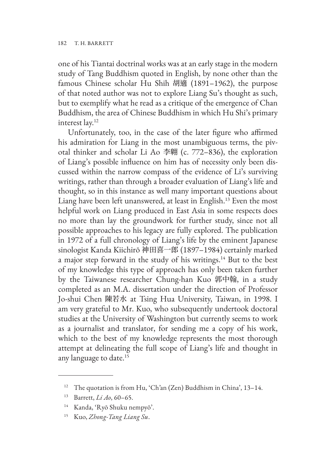one of his Tiantai doctrinal works was at an early stage in the modern study of Tang Buddhism quoted in English, by none other than the famous Chinese scholar Hu Shih 胡適 (1891–1962), the purpose of that noted author was not to explore Liang Su's thought as such, but to exemplify what he read as a critique of the emergence of Chan Buddhism, the area of Chinese Buddhism in which Hu Shi's primary interest lay.12

Unfortunately, too, in the case of the later figure who affirmed his admiration for Liang in the most unambiguous terms, the pivotal thinker and scholar Li Ao 李翺 (c. 772–836), the exploration of Liang's possible influence on him has of necessity only been discussed within the narrow compass of the evidence of Li's surviving writings, rather than through a broader evaluation of Liang's life and thought, so in this instance as well many important questions about Liang have been left unanswered, at least in English.<sup>13</sup> Even the most helpful work on Liang produced in East Asia in some respects does no more than lay the groundwork for further study, since not all possible approaches to his legacy are fully explored. The publication in 1972 of a full chronology of Liang's life by the eminent Japanese sinologist Kanda Kiichirō 神田喜一郎 (1897–1984) certainly marked a major step forward in the study of his writings.<sup>14</sup> But to the best of my knowledge this type of approach has only been taken further by the Taiwanese researcher Chung-han Kuo 郭中翰, in a study completed as an M.A. dissertation under the direction of Professor Jo-shui Chen 陳若水 at Tsing Hua University, Taiwan, in 1998. I am very grateful to Mr. Kuo, who subsequently undertook doctoral studies at the University of Washington but currently seems to work as a journalist and translator, for sending me a copy of his work, which to the best of my knowledge represents the most thorough attempt at delineating the full scope of Liang's life and thought in any language to date.15

<sup>&</sup>lt;sup>12</sup> The quotation is from Hu, 'Ch'an (Zen) Buddhism in China', 13-14.

<sup>13</sup> Barrett, *Li Ao*, 60–65.

<sup>14</sup> Kanda, 'Ryō Shuku nempyō'.

<sup>15</sup> Kuo, *Zhong-Tang Liang Su*.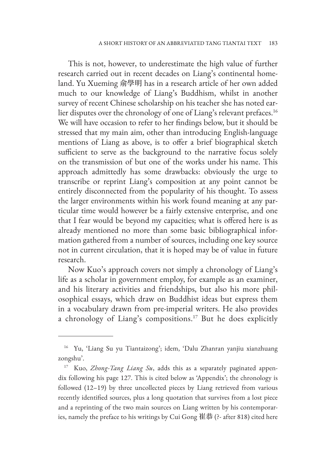This is not, however, to underestimate the high value of further research carried out in recent decades on Liang's continental homeland. Yu Xueming 俞學明 has in a research article of her own added much to our knowledge of Liang's Buddhism, whilst in another survey of recent Chinese scholarship on his teacher she has noted earlier disputes over the chronology of one of Liang's relevant prefaces.<sup>16</sup> We will have occasion to refer to her findings below, but it should be stressed that my main aim, other than introducing English-language mentions of Liang as above, is to offer a brief biographical sketch sufficient to serve as the background to the narrative focus solely on the transmission of but one of the works under his name. This approach admittedly has some drawbacks: obviously the urge to transcribe or reprint Liang's composition at any point cannot be entirely disconnected from the popularity of his thought. To assess the larger environments within his work found meaning at any particular time would however be a fairly extensive enterprise, and one that I fear would be beyond my capacities; what is offered here is as already mentioned no more than some basic bibliographical information gathered from a number of sources, including one key source not in current circulation, that it is hoped may be of value in future research.

Now Kuo's approach covers not simply a chronology of Liang's life as a scholar in government employ, for example as an examiner, and his literary activities and friendships, but also his more philosophical essays, which draw on Buddhist ideas but express them in a vocabulary drawn from pre-imperial writers. He also provides a chronology of Liang's compositions.17 But he does explicitly

<sup>16</sup> Yu, 'Liang Su yu Tiantaizong'; idem, 'Dalu Zhanran yanjiu xianzhuang zongshu'.

Kuo, *Zhong-Tang Liang Su*, adds this as a separately paginated appendix following his page 127. This is cited below as 'Appendix'; the chronology is followed (12–19) by three uncollected pieces by Liang retrieved from various recently identified sources, plus a long quotation that survives from a lost piece and a reprinting of the two main sources on Liang written by his contemporaries, namely the preface to his writings by Cui Gong 崔恭 (?- after 818) cited here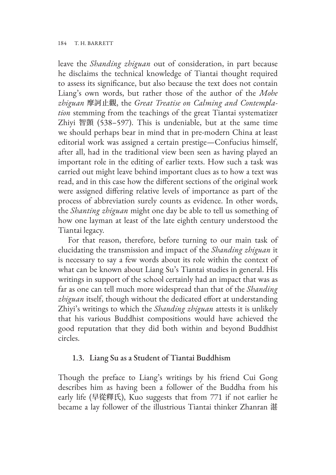leave the *Shanding zhiguan* out of consideration, in part because he disclaims the technical knowledge of Tiantai thought required to assess its significance, but also because the text does not contain Liang's own words, but rather those of the author of the *Mohe zhiguan* 摩訶止觀, the *Great Treatise on Calming and Contemplation* stemming from the teachings of the great Tiantai systematizer Zhiyi 智顗 (538–597). This is undeniable, but at the same time we should perhaps bear in mind that in pre-modern China at least editorial work was assigned a certain prestige—Confucius himself, after all, had in the traditional view been seen as having played an important role in the editing of earlier texts. How such a task was carried out might leave behind important clues as to how a text was read, and in this case how the different sections of the original work were assigned differing relative levels of importance as part of the process of abbreviation surely counts as evidence. In other words, the *Shanting zhiguan* might one day be able to tell us something of how one layman at least of the late eighth century understood the Tiantai legacy.

For that reason, therefore, before turning to our main task of elucidating the transmission and impact of the *Shanding zhiguan* it is necessary to say a few words about its role within the context of what can be known about Liang Su's Tiantai studies in general. His writings in support of the school certainly had an impact that was as far as one can tell much more widespread than that of the *Shanding zhiguan* itself, though without the dedicated effort at understanding Zhiyi's writings to which the *Shanding zhiguan* attests it is unlikely that his various Buddhist compositions would have achieved the good reputation that they did both within and beyond Buddhist circles.

# 1.3. Liang Su as a Student of Tiantai Buddhism

Though the preface to Liang's writings by his friend Cui Gong describes him as having been a follower of the Buddha from his early life (早從釋氏), Kuo suggests that from 771 if not earlier he became a lay follower of the illustrious Tiantai thinker Zhanran 湛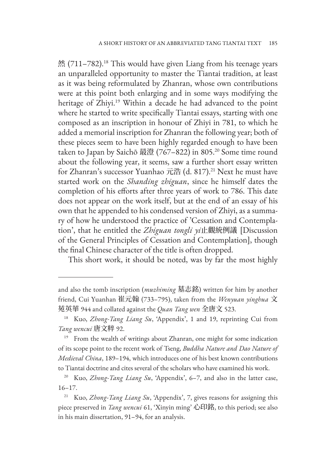然 (711–782).18 This would have given Liang from his teenage years an unparalleled opportunity to master the Tiantai tradition, at least as it was being reformulated by Zhanran, whose own contributions were at this point both enlarging and in some ways modifying the heritage of Zhiyi.<sup>19</sup> Within a decade he had advanced to the point where he started to write specifically Tiantai essays, starting with one composed as an inscription in honour of Zhiyi in 781, to which he added a memorial inscription for Zhanran the following year; both of these pieces seem to have been highly regarded enough to have been taken to Japan by Saichō 最澄 (767-822) in 805.<sup>20</sup> Some time round about the following year, it seems, saw a further short essay written for Zhanran's successor Yuanhao 元浩 (d. 817).<sup>21</sup> Next he must have started work on the *Shanding zhiguan*, since he himself dates the completion of his efforts after three years of work to 786. This date does not appear on the work itself, but at the end of an essay of his own that he appended to his condensed version of Zhiyi, as a summary of how he understood the practice of 'Cessation and Contemplation', that he entitled the *Zhiguan tongli yi*止觀統例議 [Discussion of the General Principles of Cessation and Contemplation], though the final Chinese character of the title is often dropped.

This short work, it should be noted, was by far the most highly

and also the tomb inscription (*muzhiming* 墓志銘) written for him by another friend, Cui Yuanhan 崔元翰 (733–795), taken from the *Wenyuan yinghua* 文 苑英華 944 and collated against the *Quan Tang wen* 全唐文 523.

<sup>18</sup> Kuo, *Zhong-Tang Liang Su*, 'Appendix', 1 and 19, reprinting Cui from *Tang wencui* 唐文粹 92.

<sup>&</sup>lt;sup>19</sup> From the wealth of writings about Zhanran, one might for some indication of its scope point to the recent work of Tseng, *Buddha Nature and Dao Nature of Medieval China*, 189–194, which introduces one of his best known contributions to Tiantai doctrine and cites several of the scholars who have examined his work.

<sup>20</sup> Kuo, *Zhong-Tang Liang Su*, 'Appendix', 6–7, and also in the latter case, 16–17.

<sup>21</sup> Kuo, *Zhong-Tang Liang Su*, 'Appendix', 7, gives reasons for assigning this piece preserved in *Tang wencui* 61, 'Xinyin ming' 心印銘, to this period; see also in his main dissertation, 91–94, for an analysis.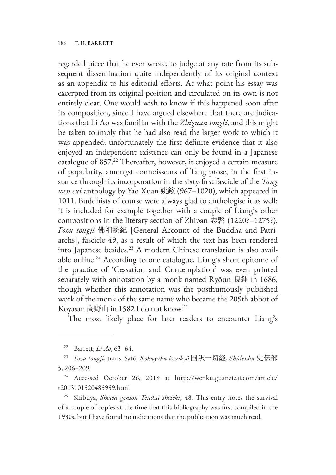regarded piece that he ever wrote, to judge at any rate from its subsequent dissemination quite independently of its original context as an appendix to his editorial efforts. At what point his essay was excerpted from its original position and circulated on its own is not entirely clear. One would wish to know if this happened soon after its composition, since I have argued elsewhere that there are indications that Li Ao was familiar with the *Zhiguan tongli*, and this might be taken to imply that he had also read the larger work to which it was appended; unfortunately the first definite evidence that it also enjoyed an independent existence can only be found in a Japanese catalogue of 857.<sup>22</sup> Thereafter, however, it enjoyed a certain measure of popularity, amongst connoisseurs of Tang prose, in the first instance through its incorporation in the sixty-first fascicle of the *Tang wen cui* anthology by Yao Xuan 姚鉉 (967–1020), which appeared in 1011. Buddhists of course were always glad to anthologise it as well: it is included for example together with a couple of Liang's other compositions in the literary section of Zhipan 志磐 (1220?–1275?), *Fozu tongji* 佛祖統紀 [General Account of the Buddha and Patriarchs], fascicle 49, as a result of which the text has been rendered into Japanese besides.23 A modern Chinese translation is also available online.<sup>24</sup> According to one catalogue, Liang's short epitome of the practice of 'Cessation and Contemplation' was even printed separately with annotation by a monk named Ryōun 良運 in 1686, though whether this annotation was the posthumously published work of the monk of the same name who became the 209th abbot of Koyasan 高野山 in 1582 I do not know.25

The most likely place for later readers to encounter Liang's

<sup>22</sup> Barrett, *Li Ao*, 63–64.

<sup>23</sup> *Fozu tongji*, trans. Satō, *Kokuyaku issaikyō* 国訳一切経, *Shidenbu* 史伝部 5, 206–209.

<sup>24</sup> Accessed October 26, 2019 at http://wenku.guanzizai.com/article/ t2013101520485959.html

<sup>25</sup> Shibuya, *Shōwa genson Tendai shoseki*, 48. This entry notes the survival of a couple of copies at the time that this bibliography was first compiled in the 1930s, but I have found no indications that the publication was much read.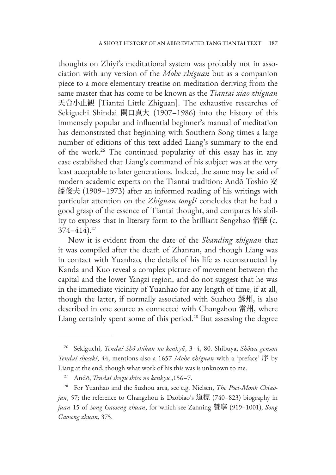thoughts on Zhiyi's meditational system was probably not in association with any version of the *Mohe zhiguan* but as a companion piece to a more elementary treatise on meditation deriving from the same master that has come to be known as the *Tiantai xiao zhiguan*  天台小止観 [Tiantai Little Zhiguan]. The exhaustive researches of Sekiguchi Shindai 関口真大 (1907–1986) into the history of this immensely popular and influential beginner's manual of meditation has demonstrated that beginning with Southern Song times a large number of editions of this text added Liang's summary to the end of the work.26 The continued popularity of this essay has in any case established that Liang's command of his subject was at the very least acceptable to later generations. Indeed, the same may be said of modern academic experts on the Tiantai tradition: Andō Toshio 安 藤俊夫 (1909–1973) after an informed reading of his writings with particular attention on the *Zhiguan tongli* concludes that he had a good grasp of the essence of Tiantai thought, and compares his ability to express that in literary form to the brilliant Sengzhao 僧肇 (c.  $374 - 414$ .<sup>27</sup>

Now it is evident from the date of the *Shanding zhiguan* that it was compiled after the death of Zhanran, and though Liang was in contact with Yuanhao, the details of his life as reconstructed by Kanda and Kuo reveal a complex picture of movement between the capital and the lower Yangzi region, and do not suggest that he was in the immediate vicinity of Yuanhao for any length of time, if at all, though the latter, if normally associated with Suzhou 蘇州, is also described in one source as connected with Changzhou 常州, where Liang certainly spent some of this period.<sup>28</sup> But assessing the degree

<sup>26</sup> Sekiguchi, *Tendai Shō shikan no kenkyū*, 3–4, 80. Shibuya, *Shōwa genson Tendai shoseki*, 44, mentions also a 1657 *Mohe zhiguan* with a 'preface' 序 by Liang at the end, though what work of his this was is unknown to me.

<sup>27</sup> Andō, *Tendai shōgu shisō no kenkyū* ,156–7.

<sup>28</sup> For Yuanhao and the Suzhou area, see e.g. Nielsen, *The Poet-Monk Chiaojan*, 57; the reference to Changzhou is Daobiao's 道標 (740–823) biography in *juan* 15 of *Song Gaoseng zhuan*, for which see Zanning 贊寧 (919–1001), *Song Gaoseng zhuan*, 375.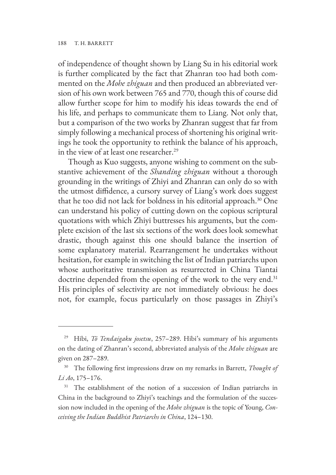of independence of thought shown by Liang Su in his editorial work is further complicated by the fact that Zhanran too had both commented on the *Mohe zhiguan* and then produced an abbreviated version of his own work between 765 and 770, though this of course did allow further scope for him to modify his ideas towards the end of his life, and perhaps to communicate them to Liang. Not only that, but a comparison of the two works by Zhanran suggest that far from simply following a mechanical process of shortening his original writings he took the opportunity to rethink the balance of his approach, in the view of at least one researcher.<sup>29</sup>

Though as Kuo suggests, anyone wishing to comment on the substantive achievement of the *Shanding zhiguan* without a thorough grounding in the writings of Zhiyi and Zhanran can only do so with the utmost diffidence, a cursory survey of Liang's work does suggest that he too did not lack for boldness in his editorial approach.30 One can understand his policy of cutting down on the copious scriptural quotations with which Zhiyi buttresses his arguments, but the complete excision of the last six sections of the work does look somewhat drastic, though against this one should balance the insertion of some explanatory material. Rearrangement he undertakes without hesitation, for example in switching the list of Indian patriarchs upon whose authoritative transmission as resurrected in China Tiantai doctrine depended from the opening of the work to the very end.<sup>31</sup> His principles of selectivity are not immediately obvious: he does not, for example, focus particularly on those passages in Zhiyi's

<sup>29</sup> Hibi, *Tō Tendaigaku josetsu*, 257–289. Hibi's summary of his arguments on the dating of Zhanran's second, abbreviated analysis of the *Mohe zhiguan* are given on 287–289.

<sup>30</sup> The following first impressions draw on my remarks in Barrett, *Thought of Li Ao*, 175–176.

<sup>&</sup>lt;sup>31</sup> The establishment of the notion of a succession of Indian patriarchs in China in the background to Zhiyi's teachings and the formulation of the succession now included in the opening of the *Mohe zhiguan* is the topic of Young, *Conceiving the Indian Buddhist Patriarchs in China*, 124–130.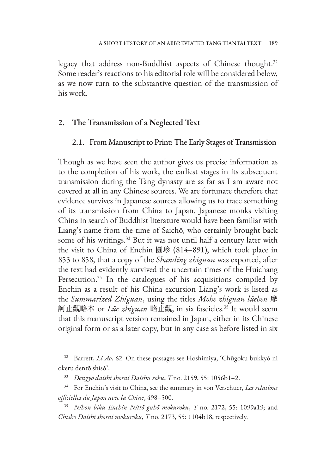legacy that address non-Buddhist aspects of Chinese thought.<sup>32</sup> Some reader's reactions to his editorial role will be considered below, as we now turn to the substantive question of the transmission of his work.

# **2. The Transmission of a Neglected Text**

## 2.1. From Manuscript to Print: The Early Stages of Transmission

Though as we have seen the author gives us precise information as to the completion of his work, the earliest stages in its subsequent transmission during the Tang dynasty are as far as I am aware not covered at all in any Chinese sources. We are fortunate therefore that evidence survives in Japanese sources allowing us to trace something of its transmission from China to Japan. Japanese monks visiting China in search of Buddhist literature would have been familiar with Liang's name from the time of Saichō, who certainly brought back some of his writings.<sup>33</sup> But it was not until half a century later with the visit to China of Enchin 圓珍 (814–891), which took place in 853 to 858, that a copy of the *Shanding zhiguan* was exported, after the text had evidently survived the uncertain times of the Huichang Persecution.<sup>34</sup> In the catalogues of his acquisitions compiled by Enchin as a result of his China excursion Liang's work is listed as the *Summarized Zhiguan*, using the titles *Mohe zhiguan lüeben* 摩 訶止觀略本 or *Lüe zhiguan* 略止觀, in six fascicles.35 It would seem that this manuscript version remained in Japan, either in its Chinese original form or as a later copy, but in any case as before listed in six

<sup>32</sup> Barrett, *Li Ao*, 62. On these passages see Hoshimiya, 'Chūgoku bukkyō ni okeru dentō shisō'.

<sup>33</sup> *Dengyō daishi shōrai Daishū roku*, *T* no. 2159, 55: 1056b1–2.

<sup>34</sup> For Enchin's visit to China, see the summary in von Verschuer, *Les relations officielles du Japon avec la Chine*, 498–500.

<sup>35</sup> *Nihon biku Enchin Nittō guhō mokuroku*, *T* no. 2172, 55: 1099a19; and *Chishō Daishi shōrai mokuroku*, *T* no. 2173, 55: 1104b18, respectively.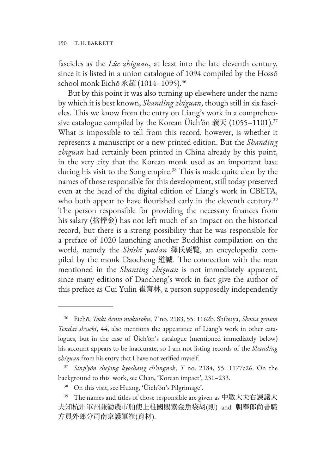fascicles as the *Lüe zhiguan*, at least into the late eleventh century, since it is listed in a union catalogue of 1094 compiled by the Hossō school monk Eichō 永超 (1014–1095).36

But by this point it was also turning up elsewhere under the name by which it is best known, *Shanding zhiguan*, though still in six fascicles. This we know from the entry on Liang's work in a comprehensive catalogue compiled by the Korean Ŭich'ŏn 義天 (1055–1101).<sup>37</sup> What is impossible to tell from this record, however, is whether it represents a manuscript or a new printed edition. But the *Shanding zhiguan* had certainly been printed in China already by this point, in the very city that the Korean monk used as an important base during his visit to the Song empire.<sup>38</sup> This is made quite clear by the names of those responsible for this development, still today preserved even at the head of the digital edition of Liang's work in CBETA, who both appear to have flourished early in the eleventh century.<sup>39</sup> The person responsible for providing the necessary finances from his salary (捨俸金) has not left much of an impact on the historical record, but there is a strong possibility that he was responsible for a preface of 1020 launching another Buddhist compilation on the world, namely the *Shishi yaolan* 釋氏要覧, an encyclopedia compiled by the monk Daocheng 道誠. The connection with the man mentioned in the *Shanting zhiguan* is not immediately apparent, since many editions of Daocheng's work in fact give the author of this preface as Cui Yulin 崔育林, a person supposedly independently

<sup>36</sup> Eichō, *Tōiki dentō mokuroku*, *T* no. 2183, 55: 1162b. Shibuya, *Shōwa genson Tendai shoseki*, 44, also mentions the appearance of Liang's work in other catalogues, but in the case of Ŭich'ŏn's catalogue (mentioned immediately below) his account appears to be inaccurate, so I am not listing records of the *Shanding zhiguan* from his entry that I have not verified myself.

<sup>37</sup> *Sinp'yŏn chejong kyochang ch'ongnok*, *T* no. 2184, 55: 1177c26. On the background to this work, see Chan, 'Korean impact', 231–233.

<sup>38</sup> On this visit, see Huang, 'Ŭich'ŏn's Pilgrimage'.

 $39$  The names and titles of those responsible are given as 中散大夫右諫議大 夫知杭州軍州兼勸農市舶使上柱國賜紫金魚袋胡(則) and 朝奉郎尚書職 方員外郎分司南京護軍崔(育材).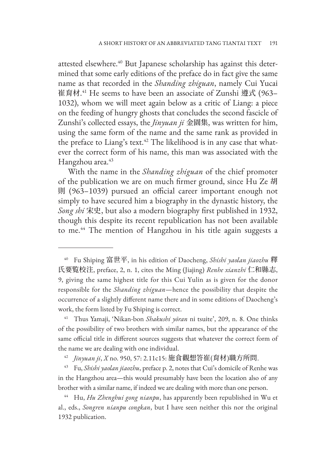attested elsewhere.<sup>40</sup> But Japanese scholarship has against this determined that some early editions of the preface do in fact give the same name as that recorded in the *Shanding zhiguan*, namely Cui Yucai 崔育材. 41 He seems to have been an associate of Zunshi 遵式 (963– 1032), whom we will meet again below as a critic of Liang: a piece on the feeding of hungry ghosts that concludes the second fascicle of Zunshi's collected essays, the *Jinyuan ji* 金園集, was written for him, using the same form of the name and the same rank as provided in the preface to Liang's text.<sup>42</sup> The likelihood is in any case that whatever the correct form of his name, this man was associated with the Hangzhou area.<sup>43</sup>

With the name in the *Shanding zhiguan* of the chief promoter of the publication we are on much firmer ground, since Hu Ze 胡 則 (963–1039) pursued an official career important enough not simply to have secured him a biography in the dynastic history, the *Song shi* 宋史, but also a modern biography first published in 1932, though this despite its recent republication has not been available to me.<sup>44</sup> The mention of Hangzhou in his title again suggests a

<sup>40</sup> Fu Shiping 富世平, in his edition of Daocheng, *Shishi yaolan jiaozhu* 釋 氏要覧校注, preface, 2, n. 1, cites the Ming (Jiajing) *Renhe xianzhi* 仁和縣志, 9, giving the same highest title for this Cui Yulin as is given for the donor responsible for the *Shanding zhiguan*—hence the possibility that despite the occurrence of a slightly different name there and in some editions of Daocheng's work, the form listed by Fu Shiping is correct.

<sup>41</sup> Thus Yamaji, 'Nikan-bon *Shakushi yōran* ni tsuite', 209, n. 8. One thinks of the possibility of two brothers with similar names, but the appearance of the same official title in different sources suggests that whatever the correct form of the name we are dealing with one individual.

<sup>42</sup> *Jinyuan ji*, *X* no. 950, 57: 2.11c15: 施食觀想答崔(育材)職方所問.

<sup>43</sup> Fu, *Shishi yaolan jiaozhu*, preface p. 2, notes that Cui's domicile of Renhe was in the Hangzhou area—this would presumably have been the location also of any brother with a similar name, if indeed we are dealing with more than one person.

<sup>44</sup> Hu, *Hu Zhenghui gong nianpu*, has apparently been republished in Wu et al., eds., *Songren nianpu congkan*, but I have seen neither this nor the original 1932 publication.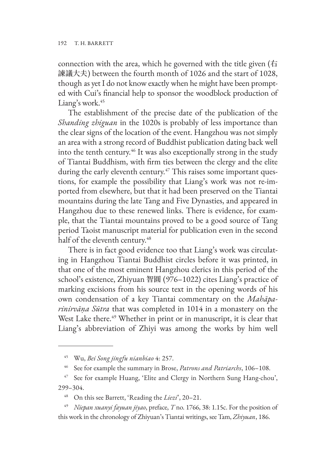connection with the area, which he governed with the title given ( $\pm$ 諫議大夫) between the fourth month of 1026 and the start of 1028, though as yet I do not know exactly when he might have been prompted with Cui's financial help to sponsor the woodblock production of Liang's work.<sup>45</sup>

The establishment of the precise date of the publication of the *Shanding zhiguan* in the 1020s is probably of less importance than the clear signs of the location of the event. Hangzhou was not simply an area with a strong record of Buddhist publication dating back well into the tenth century.<sup>46</sup> It was also exceptionally strong in the study of Tiantai Buddhism, with firm ties between the clergy and the elite during the early eleventh century.<sup>47</sup> This raises some important questions, for example the possibility that Liang's work was not re-imported from elsewhere, but that it had been preserved on the Tiantai mountains during the late Tang and Five Dynasties, and appeared in Hangzhou due to these renewed links. There is evidence, for example, that the Tiantai mountains proved to be a good source of Tang period Taoist manuscript material for publication even in the second half of the eleventh century.<sup>48</sup>

There is in fact good evidence too that Liang's work was circulating in Hangzhou Tiantai Buddhist circles before it was printed, in that one of the most eminent Hangzhou clerics in this period of the school's existence, Zhiyuan 智圓 (976–1022) cites Liang's practice of marking excisions from his source text in the opening words of his own condensation of a key Tiantai commentary on the *Mahāparinirvāṇa Sūtra* that was completed in 1014 in a monastery on the West Lake there.<sup>49</sup> Whether in print or in manuscript, it is clear that Liang's abbreviation of Zhiyi was among the works by him well

<sup>45</sup> Wu, *Bei Song jingfu nianbiao* 4: 257.

<sup>46</sup> See for example the summary in Brose, *Patrons and Patriarchs*, 106–108.

<sup>&</sup>lt;sup>47</sup> See for example Huang, 'Elite and Clergy in Northern Sung Hang-chou', 299–304.

<sup>48</sup> On this see Barrett, 'Reading the *Liezi*', 20–21.

<sup>49</sup> *Niepan xuanyi fayuan jiyao*, preface, *T* no. 1766, 38: 1.15c. For the position of this work in the chronology of Zhiyuan's Tiantai writings, see Tam, *Zhiyuan*, 186.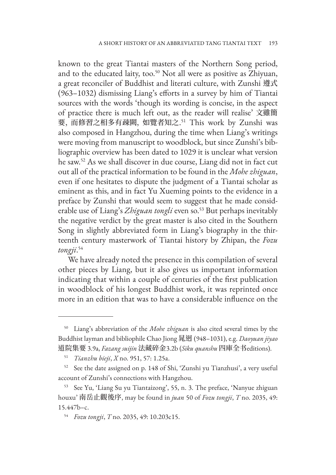known to the great Tiantai masters of the Northern Song period, and to the educated laity, too.<sup>50</sup> Not all were as positive as Zhiyuan, a great reconciler of Buddhist and literati culture, with Zunshi 遵式 (963–1032) dismissing Liang's efforts in a survey by him of Tiantai sources with the words 'though its wording is concise, in the aspect of practice there is much left out, as the reader will realise' 文雖簡 要, 而修習之相多有疎闕, 如覽者知之. 51 This work by Zunshi was also composed in Hangzhou, during the time when Liang's writings were moving from manuscript to woodblock, but since Zunshi's bibliographic overview has been dated to 1029 it is unclear what version he saw.52 As we shall discover in due course, Liang did not in fact cut out all of the practical information to be found in the *Mohe zhiguan*, even if one hesitates to dispute the judgment of a Tiantai scholar as eminent as this, and in fact Yu Xueming points to the evidence in a preface by Zunshi that would seem to suggest that he made considerable use of Liang's *Zhiguan tongli* even so.53 But perhaps inevitably the negative verdict by the great master is also cited in the Southern Song in slightly abbreviated form in Liang's biography in the thirteenth century masterwork of Tiantai history by Zhipan, the *Fozu tongji*. 54

We have already noted the presence in this compilation of several other pieces by Liang, but it also gives us important information indicating that within a couple of centuries of the first publication in woodblock of his longest Buddhist work, it was reprinted once more in an edition that was to have a considerable influence on the

<sup>50</sup> Liang's abbreviation of the *Mohe zhiguan* is also cited several times by the Buddhist layman and bibliophile Chao Jiong 晁迥 (948–1031), e.g. *Daoyuan jiyao* 道院集要 3.9a, *Fazang suijin* 法藏碎金3.2b (*Siku quanshu* 四庫全书editions).

<sup>51</sup> *Tianzhu bieji*, *X* no. 951, 57: 1.25a.

<sup>52</sup> See the date assigned on p. 148 of Shi, 'Zunshi yu Tianzhusi', a very useful account of Zunshi's connections with Hangzhou.

<sup>53</sup> See Yu, 'Liang Su yu Tiantaizong', 55, n. 3. The preface, 'Nanyue zhiguan houxu' 南岳止觀後序, may be found in *juan* 50 of *Fozu tongji*, *T* no. 2035, 49: 15.447b–c.

<sup>54</sup> *Fozu tongji*, *T* no. 2035, 49: 10.203c15.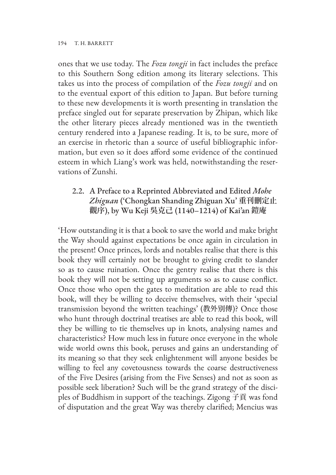ones that we use today. The *Fozu tongji* in fact includes the preface to this Southern Song edition among its literary selections. This takes us into the process of compilation of the *Fozu tongji* and on to the eventual export of this edition to Japan. But before turning to these new developments it is worth presenting in translation the preface singled out for separate preservation by Zhipan, which like the other literary pieces already mentioned was in the twentieth century rendered into a Japanese reading. It is, to be sure, more of an exercise in rhetoric than a source of useful bibliographic information, but even so it does afford some evidence of the continued esteem in which Liang's work was held, notwithstanding the reservations of Zunshi.

# 2.2. A Preface to a Reprinted Abbreviated and Edited *Mohe Zhiguan* ('Chongkan Shanding Zhiguan Xu' **重刊刪定止 觀序**), by Wu Keji **吳克己** (1140–1214) of Kai'an **鎧庵**

'How outstanding it is that a book to save the world and make bright the Way should against expectations be once again in circulation in the present! Once princes, lords and notables realise that there is this book they will certainly not be brought to giving credit to slander so as to cause ruination. Once the gentry realise that there is this book they will not be setting up arguments so as to cause conflict. Once those who open the gates to meditation are able to read this book, will they be willing to deceive themselves, with their 'special transmission beyond the written teachings' (教外别傳)? Once those who hunt through doctrinal treatises are able to read this book, will they be willing to tie themselves up in knots, analysing names and characteristics? How much less in future once everyone in the whole wide world owns this book, peruses and gains an understanding of its meaning so that they seek enlightenment will anyone besides be willing to feel any covetousness towards the coarse destructiveness of the Five Desires (arising from the Five Senses) and not as soon as possible seek liberation? Such will be the grand strategy of the disciples of Buddhism in support of the teachings. Zigong 子貢 was fond of disputation and the great Way was thereby clarified; Mencius was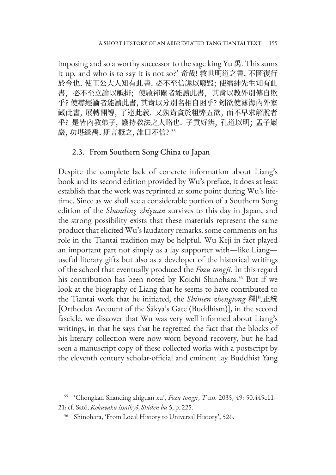imposing and so a worthy successor to the sage king Yu 禹. This sums it up, and who is to say it is not so?' 奇哉! 救世明道之書, 不圖復行 於今也. 使王公大人知有此書, 必不至信讒以廢毀; 使縉紳先生知有此 書, 必不至立論以觝排; 使啟禪關者能讀此書, 其肯以教外別傳自欺 乎? 使尋經論者能讀此書, 其肯以分別名相自困乎? 矧欲使薄海內外家 藏此書, 展轉開導, 了達此義. 又孰肯貪於粗弊五欲, 而不早求解脫者 乎? 是皆內教弟子, 護持教法之大略也. 子貢好辨, 孔道以明; 孟子巖 巖, 功堪繼禹. 斯言概之, 誰曰不信? <sup>55</sup>

### 2.3. From Southern Song China to Japan

Despite the complete lack of concrete information about Liang's book and its second edition provided by Wu's preface, it does at least establish that the work was reprinted at some point during Wu's lifetime. Since as we shall see a considerable portion of a Southern Song edition of the *Shanding zhiguan* survives to this day in Japan, and the strong possibility exists that these materials represent the same product that elicited Wu's laudatory remarks, some comments on his role in the Tiantai tradition may be helpful. Wu Keji in fact played an important part not simply as a lay supporter with—like Liang useful literary gifts but also as a developer of the historical writings of the school that eventually produced the *Fozu tongji*. In this regard his contribution has been noted by Koichi Shinohara.<sup>56</sup> But if we look at the biography of Liang that he seems to have contributed to the Tiantai work that he initiated, the *Shimen zhengtong* 釋門正統 [Orthodox Account of the Śākya's Gate (Buddhism)], in the second fascicle, we discover that Wu was very well informed about Liang's writings, in that he says that he regretted the fact that the blocks of his literary collection were now worn beyond recovery, but he had seen a manuscript copy of these collected works with a postscript by the eleventh century scholar-official and eminent lay Buddhist Yang

<sup>55</sup> 'Chongkan Shanding zhiguan xu', *Fozu tongji*, *T* no. 2035, 49: 50.445c11– 21; cf. Satō, *Kokuyaku issaikyō*, *Shiden bu* 5, p. 225.

<sup>56</sup> Shinohara, 'From Local History to Universal History', 526.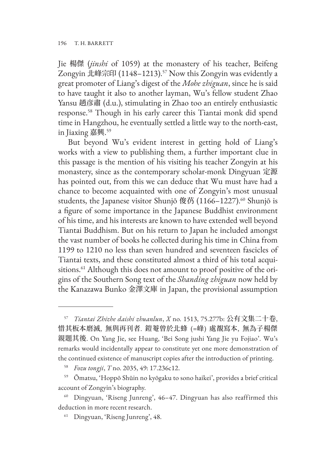Jie 楊傑 (*jinshi* of 1059) at the monastery of his teacher, Beifeng Zongyin 北峰宗印 (1148-1213).<sup>57</sup> Now this Zongyin was evidently a great promoter of Liang's digest of the *Mohe zhiguan*, since he is said to have taught it also to another layman, Wu's fellow student Zhao Yansu 趙彦肅 (d.u.), stimulating in Zhao too an entirely enthusiastic response.58 Though in his early career this Tiantai monk did spend time in Hangzhou, he eventually settled a little way to the north-east, in Jiaxing 嘉興. 59

But beyond Wu's evident interest in getting hold of Liang's works with a view to publishing them, a further important clue in this passage is the mention of his visiting his teacher Zongyin at his monastery, since as the contemporary scholar-monk Dingyuan 定源 has pointed out, from this we can deduce that Wu must have had a chance to become acquainted with one of Zongyin's most unusual students, the Japanese visitor Shunjō 俊芿 (1166-1227).<sup>60</sup> Shunjō is a figure of some importance in the Japanese Buddhist environment of his time, and his interests are known to have extended well beyond Tiantai Buddhism. But on his return to Japan he included amongst the vast number of books he collected during his time in China from 1199 to 1210 no less than seven hundred and seventeen fascicles of Tiantai texts, and these constituted almost a third of his total acquisitions.<sup>61</sup> Although this does not amount to proof positive of the origins of the Southern Song text of the *Shanding zhiguan* now held by the Kanazawa Bunko 金澤文庫 in Japan, the provisional assumption

<sup>57</sup> *Tiantai Zhizhe daishi zhuanlun*, *X* no. 1513, 75.277b: 公有文集二十卷, 惜其板本磨滅, 無與再刊者. 鎧菴曾於北蜂 (=峰) 處覩寫本, 無為子楊傑 親題其後. On Yang Jie, see Huang, 'Bei Song jushi Yang Jie yu Fojiao'. Wu's remarks would incidentally appear to constitute yet one more demonstration of the continued existence of manuscript copies after the introduction of printing.

<sup>58</sup> *Fozu tongji*, *T* no. 2035, 49: 17.236c12.

<sup>59</sup> Ōmatsu, 'Hoppō Shūin no kyōgaku to sono haikei', provides a brief critical account of Zongyin's biography.

<sup>60</sup> Dingyuan, 'Riseng Junreng', 46–47. Dingyuan has also reaffirmed this deduction in more recent research.

<sup>61</sup> Dingyuan, 'Riseng Junreng', 48.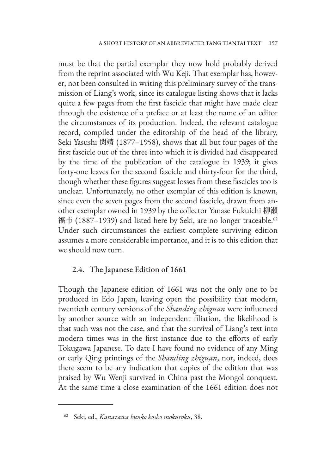must be that the partial exemplar they now hold probably derived from the reprint associated with Wu Keji. That exemplar has, however, not been consulted in writing this preliminary survey of the transmission of Liang's work, since its catalogue listing shows that it lacks quite a few pages from the first fascicle that might have made clear through the existence of a preface or at least the name of an editor the circumstances of its production. Indeed, the relevant catalogue record, compiled under the editorship of the head of the library, Seki Yasushi 関靖 (1877–1958), shows that all but four pages of the first fascicle out of the three into which it is divided had disappeared by the time of the publication of the catalogue in 1939; it gives forty-one leaves for the second fascicle and thirty-four for the third, though whether these figures suggest losses from these fascicles too is unclear. Unfortunately, no other exemplar of this edition is known, since even the seven pages from the second fascicle, drawn from another exemplar owned in 1939 by the collector Yanase Fukuichi 柳瀬 福市 (1887–1939) and listed here by Seki, are no longer traceable.<sup>62</sup> Under such circumstances the earliest complete surviving edition assumes a more considerable importance, and it is to this edition that we should now turn.

# 2.4. The Japanese Edition of 1661

Though the Japanese edition of 1661 was not the only one to be produced in Edo Japan, leaving open the possibility that modern, twentieth century versions of the *Shanding zhiguan* were influenced by another source with an independent filiation, the likelihood is that such was not the case, and that the survival of Liang's text into modern times was in the first instance due to the efforts of early Tokugawa Japanese. To date I have found no evidence of any Ming or early Qing printings of the *Shanding zhiguan*, nor, indeed, does there seem to be any indication that copies of the edition that was praised by Wu Wenji survived in China past the Mongol conquest. At the same time a close examination of the 1661 edition does not

<sup>62</sup> Seki, ed., *Kanazawa bunko kosho mokuroku*, 38.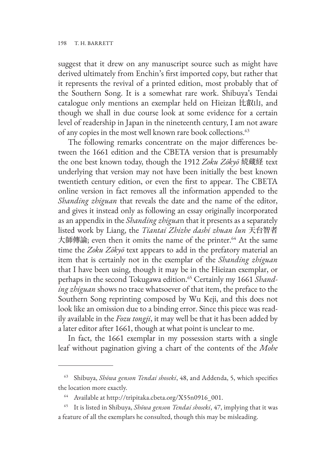suggest that it drew on any manuscript source such as might have derived ultimately from Enchin's first imported copy, but rather that it represents the revival of a printed edition, most probably that of the Southern Song. It is a somewhat rare work. Shibuya's Tendai catalogue only mentions an exemplar held on Hieizan 比叡山, and though we shall in due course look at some evidence for a certain level of readership in Japan in the nineteenth century, I am not aware of any copies in the most well known rare book collections.<sup>63</sup>

The following remarks concentrate on the major differences between the 1661 edition and the CBETA version that is presumably the one best known today, though the 1912 *Zoku Zōkyō* 続蔵経 text underlying that version may not have been initially the best known twentieth century edition, or even the first to appear. The CBETA online version in fact removes all the information appended to the *Shanding zhiguan* that reveals the date and the name of the editor, and gives it instead only as following an essay originally incorporated as an appendix in the *Shanding zhigua*n that it presents as a separately listed work by Liang, the *Tiantai Zhizhe dashi zhuan lun* 天台智者 大師傳論; even then it omits the name of the printer.<sup>64</sup> At the same time the *Zoku Zōkyō* text appears to add in the prefatory material an item that is certainly not in the exemplar of the *Shanding zhiguan*  that I have been using, though it may be in the Hieizan exemplar, or perhaps in the second Tokugawa edition.<sup>65</sup> Certainly my 1661 Shand*ing zhiguan* shows no trace whatsoever of that item, the preface to the Southern Song reprinting composed by Wu Keji, and this does not look like an omission due to a binding error. Since this piece was readily available in the *Fozu tongji*, it may well be that it has been added by a later editor after 1661, though at what point is unclear to me.

In fact, the 1661 exemplar in my possession starts with a single leaf without pagination giving a chart of the contents of the *Mohe* 

<sup>63</sup> Shibuya, *Shōwa genson Tendai shoseki*, 48, and Addenda, 5, which specifies the location more exactly.

<sup>64</sup> Available at http://tripitaka.cbeta.org/X55n0916\_001.

<sup>65</sup> It is listed in Shibuya, *Shōwa genson Tendai shoseki*, 47, implying that it was a feature of all the exemplars he consulted, though this may be misleading.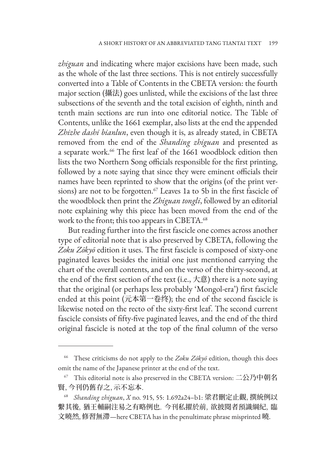*zhiguan* and indicating where major excisions have been made, such as the whole of the last three sections. This is not entirely successfully converted into a Table of Contents in the CBETA version: the fourth major section (攝法) goes unlisted, while the excisions of the last three subsections of the seventh and the total excision of eighth, ninth and tenth main sections are run into one editorial notice. The Table of Contents, unlike the 1661 exemplar, also lists at the end the appended *Zhizhe dashi bianlun*, even though it is, as already stated, in CBETA removed from the end of the *Shanding zhiguan* and presented as a separate work.<sup>66</sup> The first leaf of the 1661 woodblock edition then lists the two Northern Song officials responsible for the first printing, followed by a note saying that since they were eminent officials their names have been reprinted to show that the origins (of the print versions) are not to be forgotten.<sup>67</sup> Leaves 1a to 5b in the first fascicle of the woodblock then print the *Zhiguan tongli*, followed by an editorial note explaining why this piece has been moved from the end of the work to the front; this too appears in CBETA.<sup>68</sup>

But reading further into the first fascicle one comes across another type of editorial note that is also preserved by CBETA, following the *Zoku Zōkyō* edition it uses. The first fascicle is composed of sixty-one paginated leaves besides the initial one just mentioned carrying the chart of the overall contents, and on the verso of the thirty-second, at the end of the first section of the text (i.e., 大意) there is a note saying that the original (or perhaps less probably 'Mongol-era') first fascicle ended at this point (元本第一卷终); the end of the second fascicle is likewise noted on the recto of the sixty-first leaf. The second current fascicle consists of fifty-five paginated leaves, and the end of the third original fascicle is noted at the top of the final column of the verso

<sup>66</sup> These criticisms do not apply to the *Zoku Zōkyō* edition, though this does omit the name of the Japanese printer at the end of the text.

<sup>&</sup>lt;sup>67</sup> This editorial note is also preserved in the CBETA version: 二公乃中朝名 賢, 今刊仍舊存之, 示不忘本.

<sup>68</sup> *Shanding zhiguan*, *X* no. 915, 55: 1.692a24–b1: 梁君刪定止觀, 撰統例以 繫其後, 猶王輔嗣注易之有略例也. 今刊私擢於前, 欲披閱者預識綱紀, 臨 文曉然, 修習無滯—here CBETA has in the penultimate phrase misprinted 曉.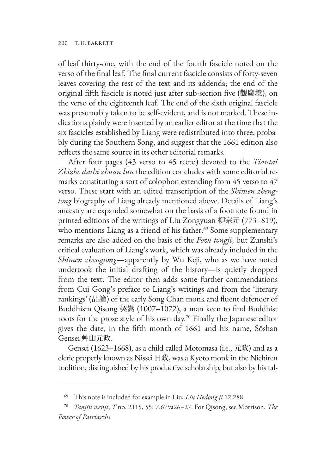of leaf thirty-one, with the end of the fourth fascicle noted on the verso of the final leaf. The final current fascicle consists of forty-seven leaves covering the rest of the text and its addenda; the end of the original fifth fascicle is noted just after sub-section five (觀魔境), on the verso of the eighteenth leaf. The end of the sixth original fascicle was presumably taken to be self-evident, and is not marked. These indications plainly were inserted by an earlier editor at the time that the six fascicles established by Liang were redistributed into three, probably during the Southern Song, and suggest that the 1661 edition also reflects the same source in its other editorial remarks.

After four pages (43 verso to 45 recto) devoted to the *Tiantai Zhizhe dashi zhuan lun* the edition concludes with some editorial remarks constituting a sort of colophon extending from 45 verso to 47 verso. These start with an edited transcription of the *Shimen zhengtong* biography of Liang already mentioned above. Details of Liang's ancestry are expanded somewhat on the basis of a footnote found in printed editions of the writings of Liu Zongyuan 柳宗元 (773–819), who mentions Liang as a friend of his father.<sup>69</sup> Some supplementary remarks are also added on the basis of the *Fozu tongji*, but Zunshi's critical evaluation of Liang's work, which was already included in the *Shimen zhengtong*—apparently by Wu Keji, who as we have noted undertook the initial drafting of the history—is quietly dropped from the text. The editor then adds some further commendations from Cui Gong's preface to Liang's writings and from the 'literary rankings' (品論) of the early Song Chan monk and fluent defender of Buddhism Qisong 契嵩 (1007–1072), a man keen to find Buddhist roots for the prose style of his own day.70 Finally the Japanese editor gives the date, in the fifth month of 1661 and his name, Sōshan Gensei 艸山元政.

Gensei (1623–1668), as a child called Motomasa (i.e., 元政) and as a cleric properly known as Nissei 日政, was a Kyoto monk in the Nichiren tradition, distinguished by his productive scholarship, but also by his tal-

<sup>69</sup> This note is included for example in Liu, *Liu Hedong ji* 12.288.

<sup>70</sup> *Tanjin wenji*, *T* no. 2115, 55: 7.679a26–27. For Qisong, see Morrison, *The Power of Patriarchs*.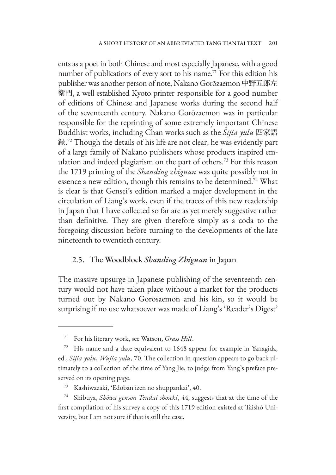ents as a poet in both Chinese and most especially Japanese, with a good number of publications of every sort to his name.71 For this edition his publisher was another person of note, Nakano Gorōzaemon 中野五郎左 衛門, a well established Kyoto printer responsible for a good number of editions of Chinese and Japanese works during the second half of the seventeenth century. Nakano Gorōzaemon was in particular responsible for the reprinting of some extremely important Chinese Buddhist works, including Chan works such as the *Sijia yulu* 四家語 録.<sup>72</sup> Though the details of his life are not clear, he was evidently part of a large family of Nakano publishers whose products inspired emulation and indeed plagiarism on the part of others.<sup>73</sup> For this reason the 1719 printing of the *Shanding zhiguan* was quite possibly not in essence a new edition, though this remains to be determined.<sup>74</sup> What is clear is that Gensei's edition marked a major development in the circulation of Liang's work, even if the traces of this new readership in Japan that I have collected so far are as yet merely suggestive rather than definitive. They are given therefore simply as a coda to the foregoing discussion before turning to the developments of the late nineteenth to twentieth century.

## 2.5. The Woodblock *Shanding Zhiguan* in Japan

The massive upsurge in Japanese publishing of the seventeenth century would not have taken place without a market for the products turned out by Nakano Gorōsaemon and his kin, so it would be surprising if no use whatsoever was made of Liang's 'Reader's Digest'

<sup>71</sup> For his literary work, see Watson, *Grass Hill*.

<sup>72</sup> His name and a date equivalent to 1648 appear for example in Yanagida, ed., *Sijia yulu*, *Wujia yulu*, 70. The collection in question appears to go back ultimately to a collection of the time of Yang Jie, to judge from Yang's preface preserved on its opening page.

<sup>73</sup> Kashiwazaki, 'Edoban izen no shuppankai', 40.

<sup>74</sup> Shibuya, *Shōwa genson Tendai shoseki*, 44, suggests that at the time of the first compilation of his survey a copy of this 1719 edition existed at Taishō University, but I am not sure if that is still the case.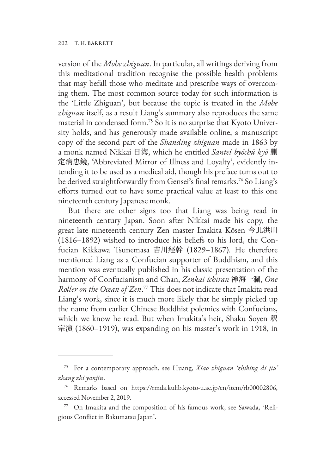version of the *Mohe zhiguan*. In particular, all writings deriving from this meditational tradition recognise the possible health problems that may befall those who meditate and prescribe ways of overcoming them. The most common source today for such information is the 'Little Zhiguan', but because the topic is treated in the *Mohe zhiguan* itself, as a result Liang's summary also reproduces the same material in condensed form.<sup>75</sup> So it is no surprise that Kyoto University holds, and has generously made available online, a manuscript copy of the second part of the *Shanding zhiguan* made in 1863 by a monk named Nikkai 日海, which he entitled *Santei byōchū kyō* 删 定病忠鏡, 'Abbreviated Mirror of Illness and Loyalty', evidently intending it to be used as a medical aid, though his preface turns out to be derived straightforwardly from Gensei's final remarks.<sup>76</sup> So Liang's efforts turned out to have some practical value at least to this one nineteenth century Japanese monk.

But there are other signs too that Liang was being read in nineteenth century Japan. Soon after Nikkai made his copy, the great late nineteenth century Zen master Imakita Kōsen 今北洪川 (1816–1892) wished to introduce his beliefs to his lord, the Confucian Kikkawa Tsunemasa 吉川経幹 (1829–1867). He therefore mentioned Liang as a Confucian supporter of Buddhism, and this mention was eventually published in his classic presentation of the harmony of Confucianism and Chan, *Zenkai ichiran* 禅海一瀾, *One Roller on the Ocean of Zen*. 77 This does not indicate that Imakita read Liang's work, since it is much more likely that he simply picked up the name from earlier Chinese Buddhist polemics with Confucians, which we know he read. But when Imakita's heir, Shaku Soyen 釈 宗演 (1860–1919), was expanding on his master's work in 1918, in

<sup>75</sup> For a contemporary approach, see Huang, *Xiao zhiguan 'zhibing di jiu' zhang zhi yanjiu*.

<sup>76</sup> Remarks based on https://rmda.kulib.kyoto-u.ac.jp/en/item/rb00002806, accessed November 2, 2019.

<sup>77</sup> On Imakita and the composition of his famous work, see Sawada, 'Religious Conflict in Bakumatsu Japan'.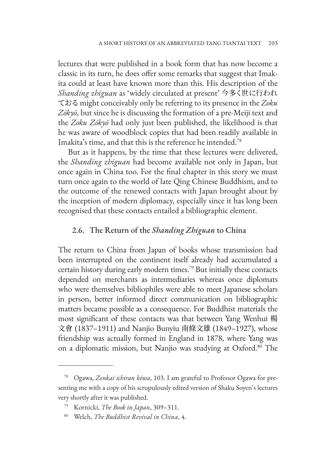lectures that were published in a book form that has now become a classic in its turn, he does offer some remarks that suggest that Imakita could at least have known more than this. His description of the *Shanding zhiguan* as 'widely circulated at present' 今多く世に行われ ておる might conceivably only be referring to its presence in the *Zoku Zōkyō*, but since he is discussing the formation of a pre-Meiji text and the *Zoku Zōkyō* had only just been published, the likelihood is that he was aware of woodblock copies that had been readily available in Imakita's time, and that this is the reference he intended.<sup>78</sup>

But as it happens, by the time that these lectures were delivered, the *Shanding zhiguan* had become available not only in Japan, but once again in China too. For the final chapter in this story we must turn once again to the world of late Qing Chinese Buddhism, and to the outcome of the renewed contacts with Japan brought about by the inception of modern diplomacy, especially since it has long been recognised that these contacts entailed a bibliographic element.

## 2.6. The Return of the *Shanding Zhiguan* to China

The return to China from Japan of books whose transmission had been interrupted on the continent itself already had accumulated a certain history during early modern times.79 But initially these contacts depended on merchants as intermediaries whereas once diplomats who were themselves bibliophiles were able to meet Japanese scholars in person, better informed direct communication on bibliographic matters became possible as a consequence. For Buddhist materials the most significant of these contacts was that between Yang Wenhui 楊 文會 (1837–1911) and Nanjio Bunyiu 南條文雄 (1849–1927), whose friendship was actually formed in England in 1878, where Yang was on a diplomatic mission, but Nanjio was studying at Oxford.80 The

<sup>78</sup> Ogawa, *Zenkai ichiran kōwa*, 103. I am grateful to Professor Ogawa for presenting me with a copy of his scrupulously edited version of Shaku Soyen's lectures very shortly after it was published.

<sup>79</sup> Kornicki, *The Book in Japan*, 309–311.

<sup>80</sup> Welch, *The Buddhist Revival in China*, 4.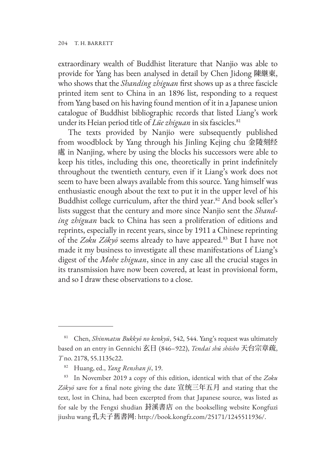extraordinary wealth of Buddhist literature that Nanjio was able to provide for Yang has been analysed in detail by Chen Jidong 陳継東, who shows that the *Shanding zhiguan* first shows up as a three fascicle printed item sent to China in an 1896 list, responding to a request from Yang based on his having found mention of it in a Japanese union catalogue of Buddhist bibliographic records that listed Liang's work under its Heian period title of *Lüe zhiguan* in six fascicles.<sup>81</sup>

The texts provided by Nanjio were subsequently published from woodblock by Yang through his Jinling Kejing chu 金陵刻经 處 in Nanjing, where by using the blocks his successors were able to keep his titles, including this one, theoretically in print indefinitely throughout the twentieth century, even if it Liang's work does not seem to have been always available from this source. Yang himself was enthusiastic enough about the text to put it in the upper level of his Buddhist college curriculum, after the third year.<sup>82</sup> And book seller's lists suggest that the century and more since Nanjio sent the *Shanding zhiguan* back to China has seen a proliferation of editions and reprints, especially in recent years, since by 1911 a Chinese reprinting of the *Zoku Zōkyō* seems already to have appeared.83 But I have not made it my business to investigate all these manifestations of Liang's digest of the *Mohe zhiguan*, since in any case all the crucial stages in its transmission have now been covered, at least in provisional form, and so I draw these observations to a close.

<sup>81</sup> Chen, *Shinmatsu Bukkyō no kenkyū*, 542, 544. Yang's request was ultimately based on an entry in Gennichi 玄日 (846–922), *Tendai shū shōsho* 天台宗章疏, *T* no. 2178, 55.1135c22.

<sup>82</sup> Huang, ed., *Yang Renshan ji*, 19.

<sup>83</sup> In November 2019 a copy of this edition, identical with that of the *Zoku Zōkyō* save for a final note giving the date 宣统三年五月 and stating that the text, lost in China, had been excerpted from that Japanese source, was listed as for sale by the Fengxi shudian 葑溪書店 on the bookselling website Kongfuzi jiushu wang 孔夫子舊書网: http://book.kongfz.com/25171/1245511936/.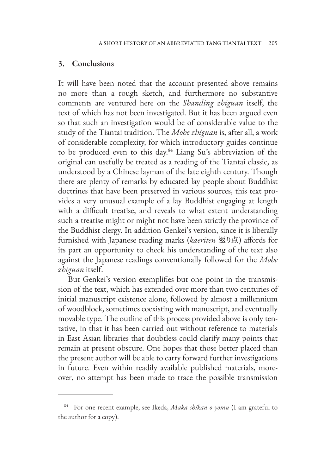#### **3. Conclusions**

It will have been noted that the account presented above remains no more than a rough sketch, and furthermore no substantive comments are ventured here on the *Shanding zhiguan* itself, the text of which has not been investigated. But it has been argued even so that such an investigation would be of considerable value to the study of the Tiantai tradition. The *Mohe zhiguan* is, after all, a work of considerable complexity, for which introductory guides continue to be produced even to this day.84 Liang Su's abbreviation of the original can usefully be treated as a reading of the Tiantai classic, as understood by a Chinese layman of the late eighth century. Though there are plenty of remarks by educated lay people about Buddhist doctrines that have been preserved in various sources, this text provides a very unusual example of a lay Buddhist engaging at length with a difficult treatise, and reveals to what extent understanding such a treatise might or might not have been strictly the province of the Buddhist clergy. In addition Genkei's version, since it is liberally furnished with Japanese reading marks (*kaeriten* 返り点) affords for its part an opportunity to check his understanding of the text also against the Japanese readings conventionally followed for the *Mohe zhiguan* itself.

But Genkei's version exemplifies but one point in the transmission of the text, which has extended over more than two centuries of initial manuscript existence alone, followed by almost a millennium of woodblock, sometimes coexisting with manuscript, and eventually movable type. The outline of this process provided above is only tentative, in that it has been carried out without reference to materials in East Asian libraries that doubtless could clarify many points that remain at present obscure. One hopes that those better placed than the present author will be able to carry forward further investigations in future. Even within readily available published materials, moreover, no attempt has been made to trace the possible transmission

<sup>84</sup> For one recent example, see Ikeda, *Maka shikan o yomu* (I am grateful to the author for a copy).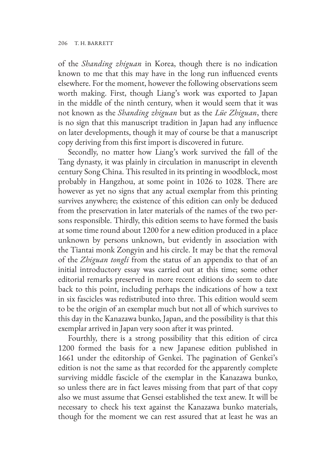of the *Shanding zhiguan* in Korea, though there is no indication known to me that this may have in the long run influenced events elsewhere. For the moment, however the following observations seem worth making. First, though Liang's work was exported to Japan in the middle of the ninth century, when it would seem that it was not known as the *Shanding zhiguan* but as the *Lüe Zhiguan*, there is no sign that this manuscript tradition in Japan had any influence on later developments, though it may of course be that a manuscript copy deriving from this first import is discovered in future.

Secondly, no matter how Liang's work survived the fall of the Tang dynasty, it was plainly in circulation in manuscript in eleventh century Song China. This resulted in its printing in woodblock, most probably in Hangzhou, at some point in 1026 to 1028. There are however as yet no signs that any actual exemplar from this printing survives anywhere; the existence of this edition can only be deduced from the preservation in later materials of the names of the two persons responsible. Thirdly, this edition seems to have formed the basis at some time round about 1200 for a new edition produced in a place unknown by persons unknown, but evidently in association with the Tiantai monk Zongyin and his circle. It may be that the removal of the *Zhiguan tongli* from the status of an appendix to that of an initial introductory essay was carried out at this time; some other editorial remarks preserved in more recent editions do seem to date back to this point, including perhaps the indications of how a text in six fascicles was redistributed into three. This edition would seem to be the origin of an exemplar much but not all of which survives to this day in the Kanazawa bunko, Japan, and the possibility is that this exemplar arrived in Japan very soon after it was printed.

Fourthly, there is a strong possibility that this edition of circa 1200 formed the basis for a new Japanese edition published in 1661 under the editorship of Genkei. The pagination of Genkei's edition is not the same as that recorded for the apparently complete surviving middle fascicle of the exemplar in the Kanazawa bunko, so unless there are in fact leaves missing from that part of that copy also we must assume that Gensei established the text anew. It will be necessary to check his text against the Kanazawa bunko materials, though for the moment we can rest assured that at least he was an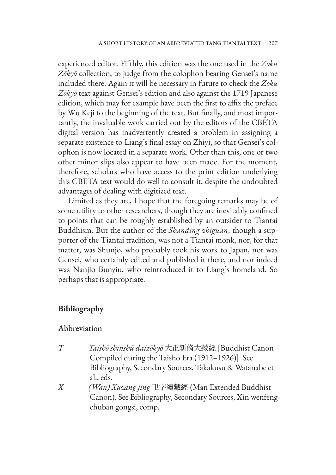experienced editor. Fifthly, this edition was the one used in the *Zoku Zōkyō* collection, to judge from the colophon bearing Gensei's name included there. Again it will be necessary in future to check the *Zoku Zōkyō* text against Gensei's edition and also against the 1719 Japanese edition, which may for example have been the first to affix the preface by Wu Keji to the beginning of the text. But finally, and most importantly, the invaluable work carried out by the editors of the CBETA digital version has inadvertently created a problem in assigning a separate existence to Liang's final essay on Zhiyi, so that Gensei's colophon is now located in a separate work. Other than this, one or two other minor slips also appear to have been made. For the moment, therefore, scholars who have access to the print edition underlying this CBETA text would do well to consult it, despite the undoubted advantages of dealing with digitized text.

Limited as they are, I hope that the foregoing remarks may be of some utility to other researchers, though they are inevitably confined to points that can be roughly established by an outsider to Tiantai Buddhism. But the author of the *Shanding zhiguan*, though a supporter of the Tiantai tradition, was not a Tiantai monk, nor, for that matter, was Shunjō, who probably took his work to Japan, nor was Gensei, who certainly edited and published it there, and nor indeed was Nanjio Bunyiu, who reintroduced it to Liang's homeland. So perhaps that is appropriate.

# **Bibliography**

### Abbreviation

- *T Taishō shinshū daizōkyō* 大正新脩大藏經 [Buddhist Canon Compiled during the Taishō Era (1912–1926)]. See Bibliography, Secondary Sources, Takakusu & Watanabe et al., eds.
- *X (Wan) Xuzang jing* 卍字續藏經 (Man Extended Buddhist Canon). See Bibliography, Secondary Sources, Xin wenfeng chuban gongsi, comp.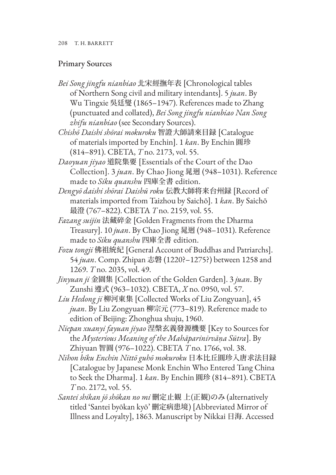## Primary Sources

*Bei Song jingfu nianbiao* 北宋經撫年表 [Chronological tables of Northern Song civil and military intendants]. 5 *juan*. By Wu Tingxie 吳廷燮 (1865–1947). References made to Zhang (punctuated and collated), *Bei Song jingfu nianbiao Nan Song zhifu nianbiao* (see Secondary Sources).

*Chishō Daishi shōrai mokuroku* 智證大師請來目録 [Catalogue of materials imported by Enchin]. 1 *kan*. By Enchin 圓珍 (814–891). CBETA, *T* no. 2173, vol. 55.

- *Daoyuan jiyao* 道院集要 [Essentials of the Court of the Dao Collection]. 3 *juan*. By Chao Jiong 晁迥 (948–1031). Reference made to *Siku quanshu* 四庫全書 edition.
- *Dengyō daishi shōrai Daishū roku* 伝教大師将来台州録 [Record of materials imported from Taizhou by Saichō]. 1 *kan*. By Saichō 最澄 (767–822). CBETA *T* no. 2159, vol. 55.
- *Fazang suijin* 法藏碎金 [Golden Fragments from the Dharma Treasury]. 10 *juan*. By Chao Jiong 晁迥 (948–1031). Reference made to *Siku quanshu* 四庫全書 edition.
- *Fozu tongji* 佛祖統紀 [General Account of Buddhas and Patriarchs]. 54 *juan*. Comp. Zhipan 志磐 (1220?–1275?) between 1258 and 1269. *T* no. 2035, vol. 49.
- *Jinyuan ji* 金園集 [Collection of the Golden Garden]. 3 *juan*. By Zunshi 遵式 (963–1032). CBETA, *X* no. 0950, vol. 57.
- *Liu Hedong ji* 柳河東集 [Collected Works of Liu Zongyuan], 45 *juan*. By Liu Zongyuan 柳宗元 (773–819). Reference made to edition of Beijing: Zhonghua shuju, 1960.
- *Niepan xuanyi fayuan jiyao* 涅槃玄義發源機要 [Key to Sources for the *Mysterious Meaning of the Mahāparinirvāṇa Sūtra*]. By Zhiyuan 智圓 (976–1022). CBETA *T* no. 1766, vol. 38.
- *Nihon biku Enchin Nittō guhō mokuroku* 日本比丘圓珍入唐求法目録 [Catalogue by Japanese Monk Enchin Who Entered Tang China to Seek the Dharma]. 1 *kan*. By Enchin 圓珍 (814–891). CBETA *T* no. 2172, vol. 55.
- *Santei shikan jō shōkan no mi* 刪定止観 上(正観)のみ (alternatively titled 'Santei byōkan kyō' 刪定病患境) [Abbreviated Mirror of Illness and Loyalty], 1863. Manuscript by Nikkai 日海. Accessed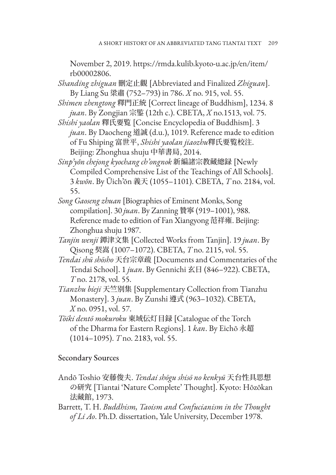November 2, 2019. https://rmda.kulib.kyoto-u.ac.jp/en/item/ rb00002806.

- *Shanding zhiguan* 刪定止觀 [Abbreviated and Finalized *Zhiguan*]. By Liang Su 梁肅 (752–793) in 786. *X* no. 915, vol. 55.
- *Shimen zhengtong* 釋門正統 [Correct lineage of Buddhism], 1234. 8 *juan*. By Zongjian 宗鍳 (12th c.). CBETA, *X* no.1513, vol. 75.
- *Shishi yaolan* 釋氏要覧 [Concise Encyclopedia of Buddhism]. 3 *juan*. By Daocheng 道誠 (d.u.), 1019. Reference made to edition of Fu Shiping 富世平, *Shishi yaolan jiaozhu*釋氏要覧校注. Beijing: Zhonghua shuju 中華書局, 2014.
- *Sinp'yŏn chejong kyochang ch'ongnok* 新編諸宗教藏總録 [Newly Compiled Comprehensive List of the Teachings of All Schools]. 3 *kwŏn*. By Ŭich'ŏn 義天 (1055–1101). CBETA, *T* no. 2184, vol. 55.
- *Song Gaoseng zhuan* [Biographies of Eminent Monks, Song compilation]. 30 *juan*. By Zanning 贊寧 (919–1001), 988. Reference made to edition of Fan Xiangyong 范祥雍. Beijing: Zhonghua shuju 1987.
- *Tanjin wenji* 鐔津文集 [Collected Works from Tanjin]. 19 *juan*. By Qisong 契嵩 (1007–1072). CBETA, *T* no. 2115, vol. 55.
- *Tendai shū shōsho* 天台宗章疏 [Documents and Commentaries of the Tendai School]. 1 *juan*. By Gennichi 玄日 (846–922). CBETA, *T* no. 2178, vol. 55.
- *Tianzhu bieji* 天竺别集 [Supplementary Collection from Tianzhu Monastery]. 3 *juan*. By Zunshi 遵式 (963–1032). CBETA, *X* no. 0951, vol. 57.
- *Tōiki dentō mokuroku* 東域伝灯目録 [Catalogue of the Torch of the Dharma for Eastern Regions]. 1 *kan*. By Eichō 永超 (1014–1095). *T* no. 2183, vol. 55.

# Secondary Sources

- Andō Toshio 安藤俊夫. *Tendai shōgu shisō no kenkyū* 天台性具思想 の研究 [Tiantai 'Nature Complete' Thought]. Kyoto: Hōzōkan 法藏館, 1973.
- Barrett, T. H. *Buddhism, Taoism and Confucianism in the Thought of Li Ao*. Ph.D. dissertation, Yale University, December 1978.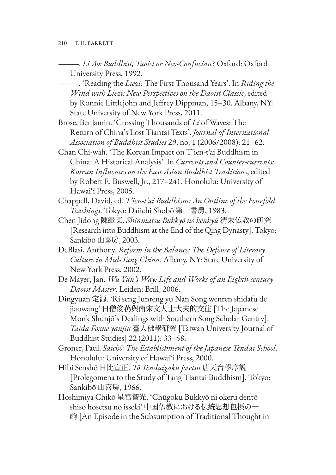- ———. *Li Ao: Buddhist, Taoist or Neo-Confucian*? Oxford: Oxford University Press, 1992.
- ———. 'Reading the *Liezi*: The First Thousand Years'. In *Riding the Wind with Liezi: New Perspectives on the Daoist Classic*, edited by Ronnie Littlejohn and Jeffrey Dippman, 15–30. Albany, NY: State University of New York Press, 2011.
- Brose, Benjamin. 'Crossing Thousands of *Li* of Waves: The Return of China's Lost Tiantai Texts'. *Journal of International Association of Buddhist Studies* 29, no. 1 (2006/2008): 21–62.
- Chan Chi-wah. 'The Korean Impact on T'ien-t'ai Buddhism in China: A Historical Analysis'. In *Currents and Counter-currents: Korean Influences on the East Asian Buddhist Traditions*, edited by Robert E. Buswell, Jr., 217–241. Honolulu: University of Hawai'i Press, 2005.
- Chappell, David, ed. *T'ien-t'ai Buddhism: An Outline of the Fourfold Teachings.* Tokyo: Daiichi Shobō 第一書房, 1983.
- Chen Jidong 陳繼東. *Shinmatsu Bukkyō no kenkyū* 清末仏教の研究 [Research into Buddhism at the End of the Qing Dynasty]. Tokyo: Sankibō 山喜房, 2003.
- DeBlasi, Anthony. *Reform in the Balance: The Defense of Literary Culture in Mid-Tang China*. Albany, NY: State University of New York Press, 2002.
- De Mayer, Jan. *Wu Yun's Way: Life and Works of an Eighth-century Daoist Master*. Leiden: Brill, 2006.
- Dingyuan 定源. 'Ri seng Junreng yu Nan Song wenren shidafu de jiaowang' 日僧俊芿與南宋文人士大夫的交往 [The Japanese Monk Shunjō's Dealings with Southern Song Scholar Gentry]. *Taida Foxue yanjiu* 臺大佛學研究 [Taiwan University Journal of Buddhist Studies] 22 (2011): 33–58.
- Groner, Paul. *Saichō: The Establishment of the Japanese Tendai School*. Honolulu: University of Hawai'i Press, 2000.
- Hibi Senshō 日比宣正. *Tō Tendaigaku josetsu* 唐天台學序説 [Prolegomena to the Study of Tang Tiantai Buddhism]. Tokyo: Sankibō 山喜房, 1966.
- Hoshimiya Chikō 星宫智光. 'Chūgoku Bukkyō ni okeru dentō shisō hōsetsu no isseki' 中国仏教における伝統思想包摂の一 齣 [An Episode in the Subsumption of Traditional Thought in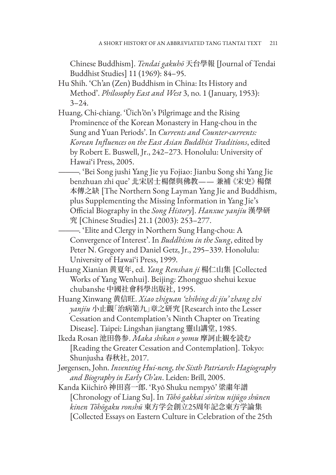Chinese Buddhism]. *Tendai gakuhō* 天台學報 [Journal of Tendai Buddhist Studies] 11 (1969): 84–95.

Hu Shih. 'Ch'an (Zen) Buddhism in China: Its History and Method'. *Philosophy East and West* 3, no. 1 (January, 1953):  $3 - 24.$ 

Huang, Chi-chiang. 'Ŭich'ŏn's Pilgrimage and the Rising Prominence of the Korean Monastery in Hang-chou in the Sung and Yuan Periods'. In *Currents and Counter-currents: Korean Influences on the East Asian Buddhist Traditions*, edited by Robert E. Buswell, Jr., 242–273. Honolulu: University of Hawai'i Press, 2005.

———. 'Bei Song jushi Yang Jie yu Fojiao: Jianbu Song shi Yang Jie benzhuan zhi que' 北宋居士楊傑與佛教—— 兼補 《宋史》 楊傑 本傳之缺 [The Northern Song Layman Yang Jie and Buddhism, plus Supplementing the Missing Information in Yang Jie's Official Biography in the *Song History*]. *Hanxue yanjiu* 漢學研 究 [Chinese Studies] 21.1 (2003): 253–277.

———. 'Elite and Clergy in Northern Sung Hang-chou: A Convergence of Interest'. In *Buddhism in the Sung*, edited by Peter N. Gregory and Daniel Getz, Jr., 295–339. Honolulu: University of Hawai'i Press, 1999.

- Huang Xianian 黄夏年, ed. *Yang Renshan ji* 楊仁山集 [Collected Works of Yang Wenhui]. Beijing: Zhongguo shehui kexue chubanshe 中國社會科學出版社, 1995.
- Huang Xinwang 黄信旺. *Xiao zhiguan 'zhibing di jiu' zhang zhi yanjiu* 小止觀「治病第九」章之研究 [Research into the Lesser Cessation and Contemplation's Ninth Chapter on Treating Disease]. Taipei: Lingshan jiangtang 靈山講堂, 1985.
- Ikeda Rosan 池田魯参. *Maka shikan o yomu* 摩訶止観を読む [Reading the Greater Cessation and Contemplation]. Tokyo: Shunjusha 春秋社, 2017.
- Jørgensen, John. *Inventing Hui-neng, the Sixth Patriarch: Hagiography and Biography in Early Ch'an*. Leiden: Brill, 2005.
- Kanda Kiichirō 神田喜一郎. 'Ryō Shuku nempyō' 梁粛年譜 [Chronology of Liang Su]. In *Tōhō gakkai sōritsu nijūgo shūnen kinen Tōhōgaku ronshū* 東方学会創立25周年記念東方学論集 [Collected Essays on Eastern Culture in Celebration of the 25th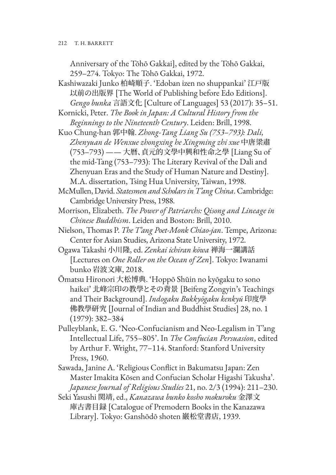Anniversary of the Tōhō Gakkai], edited by the Tōhō Gakkai, 259–274. Tokyo: The Tōhō Gakkai, 1972.

Kashiwazaki Junko 柏崎順子. 'Edoban izen no shuppankai' 江戸版 以前の出版界 [The World of Publishing before Edo Editions]. *Gengo bunka* 言語文化 [Culture of Languages] 53 (2017): 35–51.

Kornicki, Peter. *The Book in Japan: A Cultural History from the Beginnings to the Nineteenth Century*. Leiden: Brill, 1998.

Kuo Chung-han 郭中翰. *Zhong-Tang Liang Su (753–793): Dali, Zhenyuan de Wenxue zhongxing he Xingming zhi xue* 中唐梁肅 (753–793) —— 大暦、貞元的文學中興和性命之學 [Liang Su of the mid-Tang (753–793): The Literary Revival of the Dali and Zhenyuan Eras and the Study of Human Nature and Destiny]. M.A. dissertation, Tsing Hua University, Taiwan, 1998.

McMullen, David. *Statesmen and Scholars in T'ang China*. Cambridge: Cambridge University Press, 1988.

Morrison, Elizabeth. *The Power of Patriarchs: Qisong and Lineage in Chinese Buddhism*. Leiden and Boston: Brill, 2010.

Nielson, Thomas P. *The T'ang Poet-Monk Chiao-jan*. Tempe, Arizona: Center for Asian Studies, Arizona State University, 1972.

Ogawa Takashi 小川隆, ed. *Zenkai ichiran kōwa* 禅海一瀾講話 [Lectures on *One Roller on the Ocean of Zen*]. Tokyo: Iwanami bunko 岩波文庫, 2018.

Ōmatsu Hironori 大松博典. 'Hoppō Shūin no kyōgaku to sono haikei' 北峰宗印の教學とその背景 [Beifeng Zongyin's Teachings and Their Background]. *Indogaku Bukkyōgaku kenkyū* 印度學 佛教學研究 [Journal of Indian and Buddhist Studies] 28, no. 1 (1979): 382–384

Pulleyblank, E. G. 'Neo-Confucianism and Neo-Legalism in T'ang Intellectual Life, 755–805'. In *The Confucian Persuasion*, edited by Arthur F. Wright, 77–114. Stanford: Stanford University Press, 1960.

Sawada, Janine A. 'Religious Conflict in Bakumatsu Japan: Zen Master Imakita Kōsen and Confucian Scholar Higashi Takusha'. *Japanese Journal of Religious Studies* 21, no. 2/3 (1994): 211–230.

Seki Yasushi 関靖, ed., *Kanazawa bunko kosho mokuroku* 金澤文 庫古書目録 [Catalogue of Premodern Books in the Kanazawa Library]. Tokyo: Ganshōdō shoten 巌松堂書店, 1939.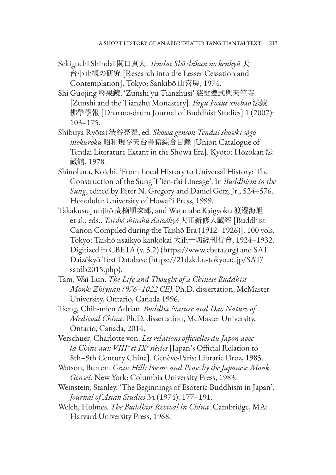- Sekiguchi Shindai 関口真大. *Tendai Shō shikan no kenkyū* 天 台小止観の研究 [Research into the Lesser Cessation and Contemplation]. Tokyo: Sankibō 山喜房, 1974.
- Shi Guojing 釋果鏡. 'Zunshi yu Tianzhusi' 慈雲遵式與天竺寺 [Zunshi and the Tianzhu Monastery]. *Fagu Foxue xuebao* 法鼓 佛學學報 [Dharma-drum Journal of Buddhist Studies] 1 (2007): 103–175.
- Shibuya Ryōtai 渋谷亮泰, ed. *Shōwa genson Tendai shoseki sōgō mokuroku* 昭和現存天台書籍綜合目錄 [Union Catalogue of Tendai Literature Extant in the Showa Era]. Kyoto: Hōzōkan 法 藏館, 1978.
- Shinohara, Koichi. 'From Local History to Universal History: The Construction of the Sung T'ien-t'ai Lineage'. In *Buddhism in the Sung*, edited by Peter N. Gregory and Daniel Getz, Jr., 524–576. Honolulu: University of Hawai'i Press, 1999.
- Takakusu Junjirō 高楠順次郎, and Watanabe Kaigyoku 渡邊海旭 et al., eds.. *Taishō shinshū daizōkyō* 大正新修大藏經 [Buddhist Canon Compiled during the Taishō Era (1912–1926)]. 100 vols. Tokyo: Taishō issaikyō kankōkai 大正一切經刊行會, 1924–1932. Digitized in CBETA (v. 5.2) (https://www.cbeta.org) and SAT Daizōkyō Text Database (https://21dzk.l.u-tokyo.ac.jp/SAT/ satdb2015.php).
- Tam, Wai-Lun. *The Life and Thought of a Chinese Buddhist Monk: Zhiyuan (976*–*1022 CE)*. Ph.D. dissertation, McMaster University, Ontario, Canada 1996.
- Tseng, Chih-mien Adrian. *Buddha Nature and Dao Nature of Medieval China*. Ph.D. dissertation, McMaster University, Ontario, Canada, 2014.
- Verschuer, Charlotte von. *Les relations officielles du Japon avec la Chine aux VIIIᵉ et IXᵉ siècles* [Japan's Official Relation to 8th–9th Century China]. Genève-Paris: Librarie Droz, 1985.
- Watson, Burton. *Grass Hill: Poems and Prose by the Japanese Monk Gensei*. New York: Columbia University Press, 1983.
- Weinstein, Stanley. 'The Beginnings of Esoteric Buddhism in Japan'. *Journal of Asian Studies* 34 (1974): 177–191.
- Welch, Holmes. *The Buddhist Revival in China*. Cambridge, MA: Harvard University Press, 1968.